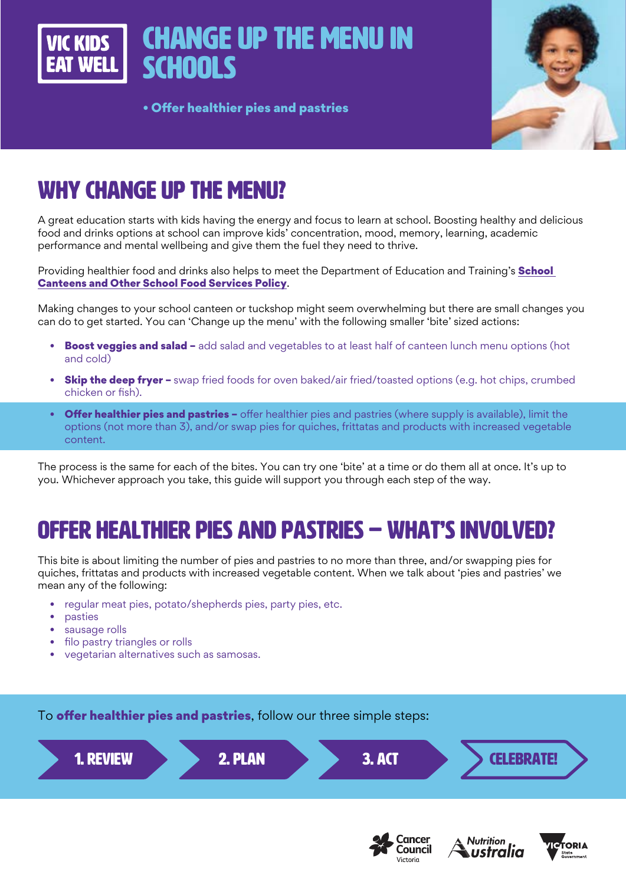# Change up the menu in **SCHOOLS**

• Offer healthier pies and pastries



# WHY CHANGE UP THE MENU?

A great education starts with kids having the energy and focus to learn at school. Boosting healthy and delicious food and drinks options at school can improve kids' concentration, mood, memory, learning, academic performance and mental wellbeing and give them the fuel they need to thrive.

Providing healthier food and drinks also helps to meet the Department of Education and Training's **School** [Canteens and Other School Food Services Policy](https://www2.education.vic.gov.au/pal/canteens-and-healthy-eating/policy).

Making changes to your school canteen or tuckshop might seem overwhelming but there are small changes you can do to get started. You can 'Change up the menu' with the following smaller 'bite' sized actions:

- **Boost veggies and salad -** add salad and vegetables to at least half of canteen lunch menu options (hot and cold)
- **Skip the deep fryer –** swap fried foods for oven baked/air fried/toasted options (e.g. hot chips, crumbed chicken or fish).
- Offer healthier pies and pastries offer healthier pies and pastries (where supply is available), limit the options (not more than 3), and/or swap pies for quiches, frittatas and products with increased vegetable content.

The process is the same for each of the bites. You can try one 'bite' at a time or do them all at once. It's up to you. Whichever approach you take, this guide will support you through each step of the way.

# OFFER HEALTHIER PIES AND PASTRIES – WHAT'S INVOLVED?

This bite is about limiting the number of pies and pastries to no more than three, and/or swapping pies for quiches, frittatas and products with increased vegetable content. When we talk about 'pies and pastries' we mean any of the following:

- regular meat pies, potato/shepherds pies, party pies, etc.
- pasties
- sausage rolls
- filo pastry triangles or rolls
- vegetarian alternatives such as samosas.

To **offer healthier pies and pastries**, follow our three simple steps:







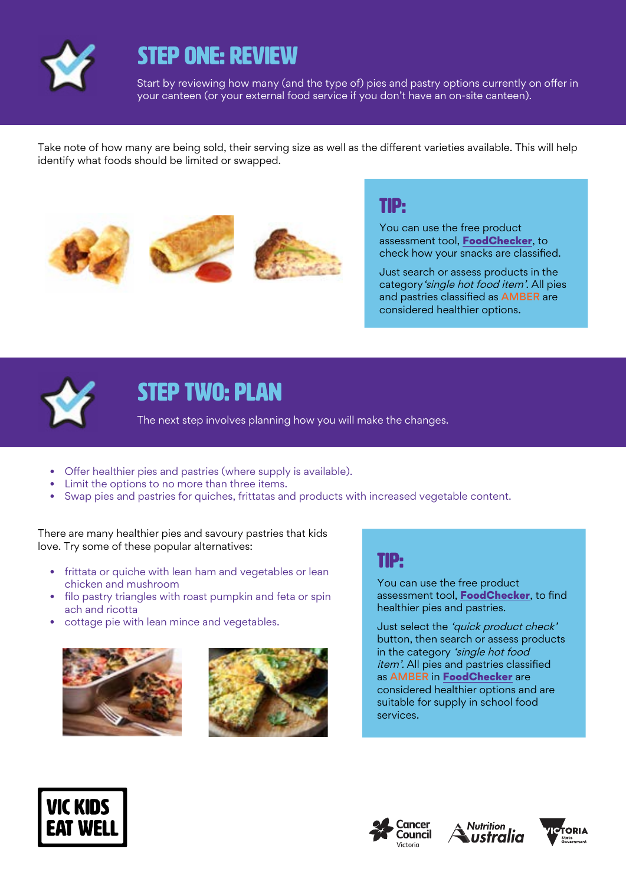

## STEP ONE: REVIEW

Start by reviewing how many (and the type of) pies and pastry options currently on offer in your canteen (or your external food service if you don't have an on-site canteen).

Take note of how many are being sold, their serving size as well as the different varieties available. This will help identify what foods should be limited or swapped.







### TIP:

You can use the free product assessment tool, [FoodChecker](https://foodchecker.heas.health.vic.gov.au/), to check how your snacks are classified.

Just search or assess products in the category'single hot food item'. All pies and pastries classified as AMBER are considered healthier options.



## STEP TWO: PLAN

The next step involves planning how you will make the changes.

- Offer healthier pies and pastries (where supply is available).
- Limit the options to no more than three items.
- Swap pies and pastries for quiches, frittatas and products with increased vegetable content.

There are many healthier pies and savoury pastries that kids love. Try some of these popular alternatives:

- frittata or quiche with lean ham and vegetables or lean chicken and mushroom
- filo pastry triangles with roast pumpkin and feta or spin ach and ricotta
- cottage pie with lean mince and vegetables.





### TIP:

You can use the free product assessment tool. [FoodChecker](https://foodchecker.heas.health.vic.gov.au/), to find healthier pies and pastries.

Just select the 'quick product check' button, then search or assess products in the category 'single hot food item'. All pies and pastries classified as AMBER in [FoodChecker](https://foodchecker.heas.health.vic.gov.au/) are considered healthier options and are suitable for supply in school food services.







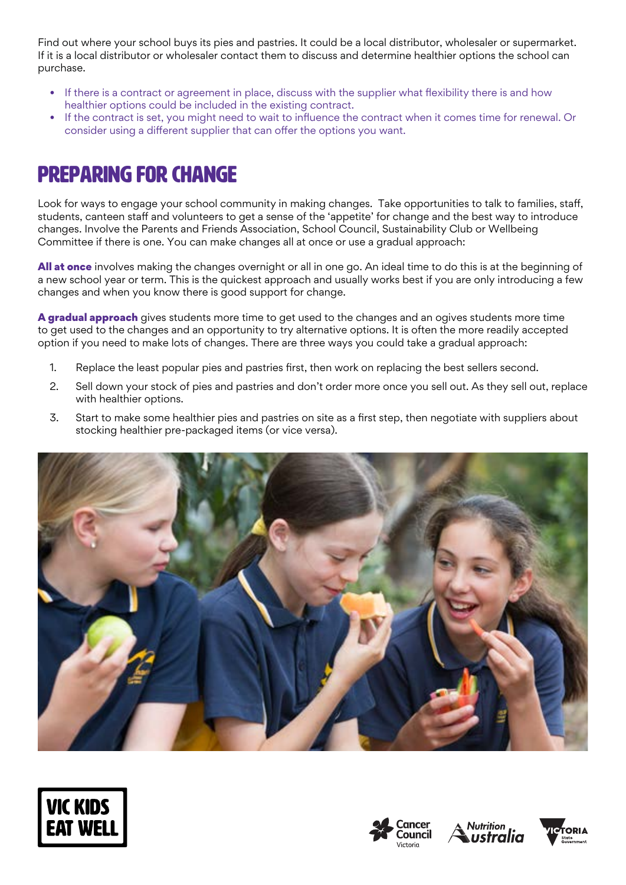Find out where your school buys its pies and pastries. It could be a local distributor, wholesaler or supermarket. If it is a local distributor or wholesaler contact them to discuss and determine healthier options the school can purchase.

- If there is a contract or agreement in place, discuss with the supplier what flexibility there is and how healthier options could be included in the existing contract.
- If the contract is set, you might need to wait to influence the contract when it comes time for renewal. Or consider using a different supplier that can offer the options you want.

# Preparing for change

Look for ways to engage your school community in making changes. Take opportunities to talk to families, staff, students, canteen staff and volunteers to get a sense of the 'appetite' for change and the best way to introduce changes. Involve the Parents and Friends Association, School Council, Sustainability Club or Wellbeing Committee if there is one. You can make changes all at once or use a gradual approach:

All at once involves making the changes overnight or all in one go. An ideal time to do this is at the beginning of a new school year or term. This is the quickest approach and usually works best if you are only introducing a few changes and when you know there is good support for change.

A gradual approach gives students more time to get used to the changes and an ogives students more time to get used to the changes and an opportunity to try alternative options. It is often the more readily accepted option if you need to make lots of changes. There are three ways you could take a gradual approach:

- 1. Replace the least popular pies and pastries first, then work on replacing the best sellers second.
- 2. Sell down your stock of pies and pastries and don't order more once you sell out. As they sell out, replace with healthier options.
- 3. Start to make some healthier pies and pastries on site as a first step, then negotiate with suppliers about stocking healthier pre-packaged items (or vice versa).









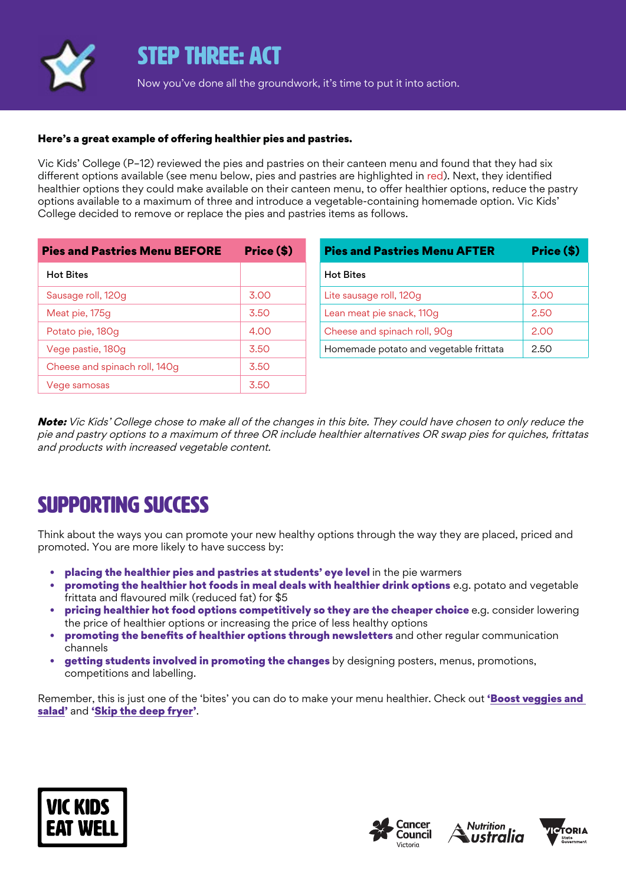

### STEP THREE: ACT

Now you've done all the groundwork, it's time to put it into action.

#### Here's a great example of offering healthier pies and pastries.

Vic Kids' College (P–12) reviewed the pies and pastries on their canteen menu and found that they had six different options available (see menu below, pies and pastries are highlighted in red). Next, they identified healthier options they could make available on their canteen menu, to offer healthier options, reduce the pastry options available to a maximum of three and introduce a vegetable-containing homemade option. Vic Kids' College decided to remove or replace the pies and pastries items as follows.

| <b>Pies and Pastries Menu BEFORE</b> | Price (\$) |
|--------------------------------------|------------|
| <b>Hot Bites</b>                     |            |
| Sausage roll, 120g                   | 3.00       |
| Meat pie, 175g                       | 3.50       |
| Potato pie, 180g                     | 4.00       |
| Vege pastie, 180g                    | 3.50       |
| Cheese and spinach roll, 140g        | 3.50       |
| Vege samosas                         | 3.50       |

| <b>Pies and Pastries Menu AFTER</b>    | Price (\$) |
|----------------------------------------|------------|
| <b>Hot Bites</b>                       |            |
| Lite sausage roll, 120g                | 3.00       |
| Lean meat pie snack, 110g              | 2.50       |
| Cheese and spinach roll, 90g           | 2.00       |
| Homemade potato and vegetable frittata | 2.50       |

Note: Vic Kids' College chose to make all of the changes in this bite. They could have chosen to only reduce the pie and pastry options to a maximum of three OR include healthier alternatives OR swap pies for quiches, frittatas and products with increased vegetable content.

### SUPPORTING SUCCESS

Think about the ways you can promote your new healthy options through the way they are placed, priced and promoted. You are more likely to have success by:

- placing the healthier pies and pastries at students' eye level in the pie warmers
- promoting the healthier hot foods in meal deals with healthier drink options e.g. potato and vegetable frittata and flavoured milk (reduced fat) for \$5
- pricing healthier hot food options competitively so they are the cheaper choice e.g. consider lowering the price of healthier options or increasing the price of less healthy options
- promoting the benefits of healthier options through newsletters and other regular communication channels
- getting students involved in promoting the changes by designing posters, menus, promotions, competitions and labelling.

Remember, this is just one of the 'bites' you can do to make your menu healthier. Check out 'Boost veggies and [salad'](https://www.vickidseatwell.health.vic.gov.au/resources) and '[Skip the deep fryer'](https://www.vickidseatwell.health.vic.gov.au/resources).